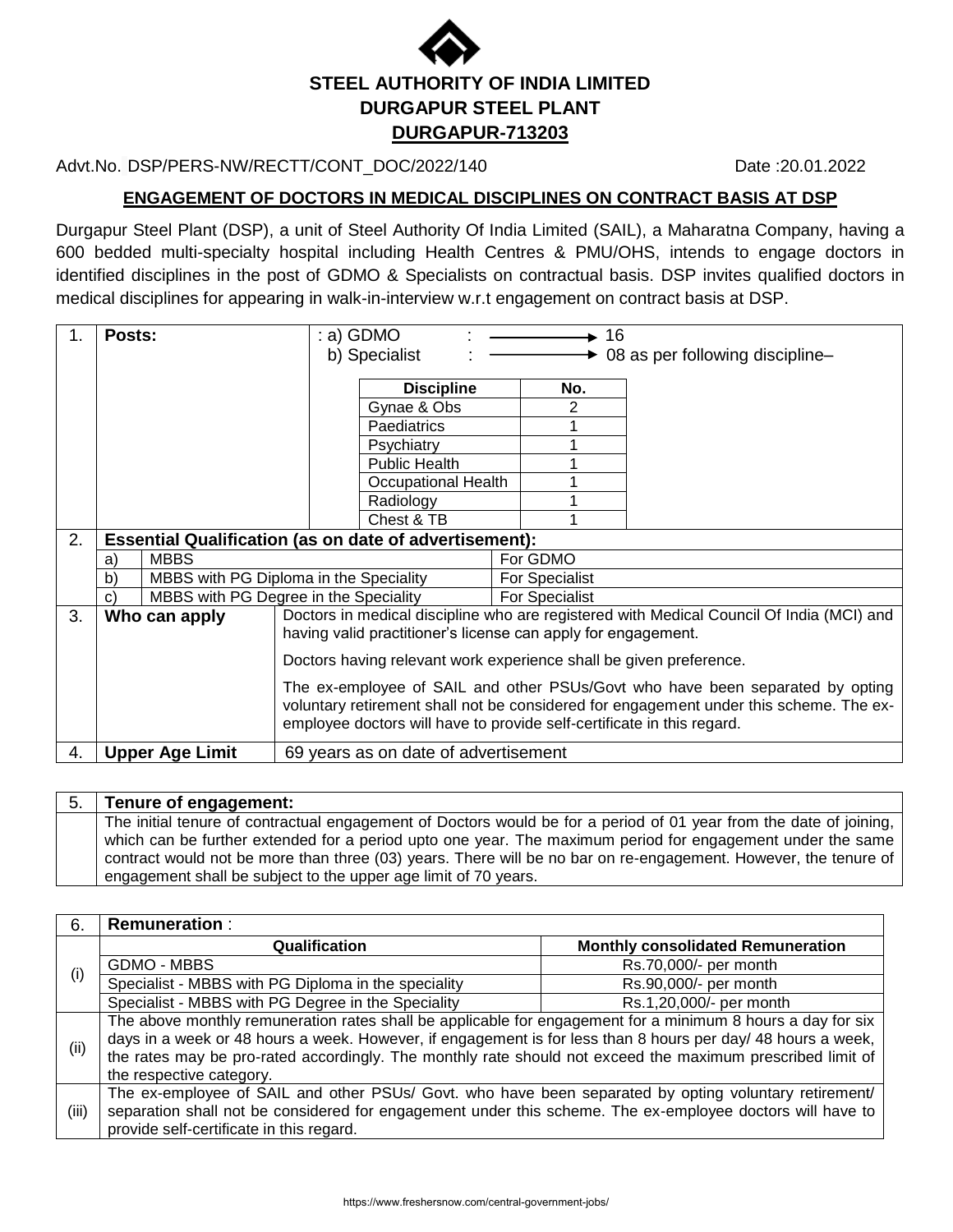

## Advt.No. DSP/PERS-NW/RECTT/CONT\_DOC/2022/140 Date :20.01.2022

**ENGAGEMENT OF DOCTORS IN MEDICAL DISCIPLINES ON CONTRACT BASIS AT DSP**

Durgapur Steel Plant (DSP), a unit of Steel Authority Of India Limited (SAIL), a Maharatna Company, having a 600 bedded multi-specialty hospital including Health Centres & PMU/OHS, intends to engage doctors in identified disciplines in the post of GDMO & Specialists on contractual basis. DSP invites qualified doctors in medical disciplines for appearing in walk-in-interview w.r.t engagement on contract basis at DSP.

| 1. | Posts:       |                                                               |                                                                                        | : a) GDMO                                                              |                       | 16             |                                                                                          |  |  |
|----|--------------|---------------------------------------------------------------|----------------------------------------------------------------------------------------|------------------------------------------------------------------------|-----------------------|----------------|------------------------------------------------------------------------------------------|--|--|
|    |              |                                                               |                                                                                        | b) Specialist                                                          |                       |                | 08 as per following discipline-                                                          |  |  |
|    |              |                                                               |                                                                                        | <b>Discipline</b>                                                      |                       | No.            |                                                                                          |  |  |
|    |              |                                                               |                                                                                        | Gynae & Obs                                                            |                       |                |                                                                                          |  |  |
|    |              |                                                               |                                                                                        | Paediatrics                                                            |                       |                |                                                                                          |  |  |
|    |              |                                                               |                                                                                        | Psychiatry                                                             |                       |                |                                                                                          |  |  |
|    |              |                                                               |                                                                                        | Public Health                                                          |                       |                |                                                                                          |  |  |
|    |              |                                                               |                                                                                        | <b>Occupational Health</b>                                             |                       |                |                                                                                          |  |  |
|    |              |                                                               |                                                                                        | Radiology                                                              |                       |                |                                                                                          |  |  |
|    |              |                                                               |                                                                                        | Chest & TB                                                             |                       |                |                                                                                          |  |  |
| 2. |              | <b>Essential Qualification (as on date of advertisement):</b> |                                                                                        |                                                                        |                       |                |                                                                                          |  |  |
|    | a)           | <b>MBBS</b>                                                   |                                                                                        |                                                                        |                       | For GDMO       |                                                                                          |  |  |
|    | b)           | MBBS with PG Diploma in the Speciality                        |                                                                                        |                                                                        | <b>For Specialist</b> |                |                                                                                          |  |  |
|    | $\mathbf{C}$ | MBBS with PG Degree in the Speciality                         |                                                                                        |                                                                        |                       | For Specialist |                                                                                          |  |  |
| 3. |              | Who can apply                                                 |                                                                                        |                                                                        |                       |                | Doctors in medical discipline who are registered with Medical Council Of India (MCI) and |  |  |
|    |              |                                                               |                                                                                        | having valid practitioner's license can apply for engagement.          |                       |                |                                                                                          |  |  |
|    |              |                                                               | Doctors having relevant work experience shall be given preference.                     |                                                                        |                       |                |                                                                                          |  |  |
|    |              |                                                               | The ex-employee of SAIL and other PSUs/Govt who have been separated by opting          |                                                                        |                       |                |                                                                                          |  |  |
|    |              |                                                               | voluntary retirement shall not be considered for engagement under this scheme. The ex- |                                                                        |                       |                |                                                                                          |  |  |
|    |              |                                                               |                                                                                        | employee doctors will have to provide self-certificate in this regard. |                       |                |                                                                                          |  |  |
| 4. |              | <b>Upper Age Limit</b>                                        |                                                                                        | 69 years as on date of advertisement                                   |                       |                |                                                                                          |  |  |

### 5. **Tenure of engagement:** The initial tenure of contractual engagement of Doctors would be for a period of 01 year from the date of joining, which can be further extended for a period upto one year. The maximum period for engagement under the same contract would not be more than three (03) years. There will be no bar on re-engagement. However, the tenure of engagement shall be subject to the upper age limit of 70 years.

| 6.    | <b>Remuneration:</b>                                                                                         |                                                                                                             |  |  |  |  |  |
|-------|--------------------------------------------------------------------------------------------------------------|-------------------------------------------------------------------------------------------------------------|--|--|--|--|--|
| (i)   | Qualification                                                                                                | <b>Monthly consolidated Remuneration</b>                                                                    |  |  |  |  |  |
|       | GDMO - MBBS                                                                                                  | Rs.70,000/- per month                                                                                       |  |  |  |  |  |
|       | Specialist - MBBS with PG Diploma in the speciality                                                          | Rs.90,000/- per month                                                                                       |  |  |  |  |  |
|       | Specialist - MBBS with PG Degree in the Speciality                                                           | Rs.1,20,000/- per month                                                                                     |  |  |  |  |  |
|       |                                                                                                              | The above monthly remuneration rates shall be applicable for engagement for a minimum 8 hours a day for six |  |  |  |  |  |
| (i)   | days in a week or 48 hours a week. However, if engagement is for less than 8 hours per day/ 48 hours a week, |                                                                                                             |  |  |  |  |  |
|       | the rates may be pro-rated accordingly. The monthly rate should not exceed the maximum prescribed limit of   |                                                                                                             |  |  |  |  |  |
|       | the respective category.                                                                                     |                                                                                                             |  |  |  |  |  |
|       | The ex-employee of SAIL and other PSUs/ Govt. who have been separated by opting voluntary retirement/        |                                                                                                             |  |  |  |  |  |
| (iii) | separation shall not be considered for engagement under this scheme. The ex-employee doctors will have to    |                                                                                                             |  |  |  |  |  |
|       | provide self-certificate in this regard.                                                                     |                                                                                                             |  |  |  |  |  |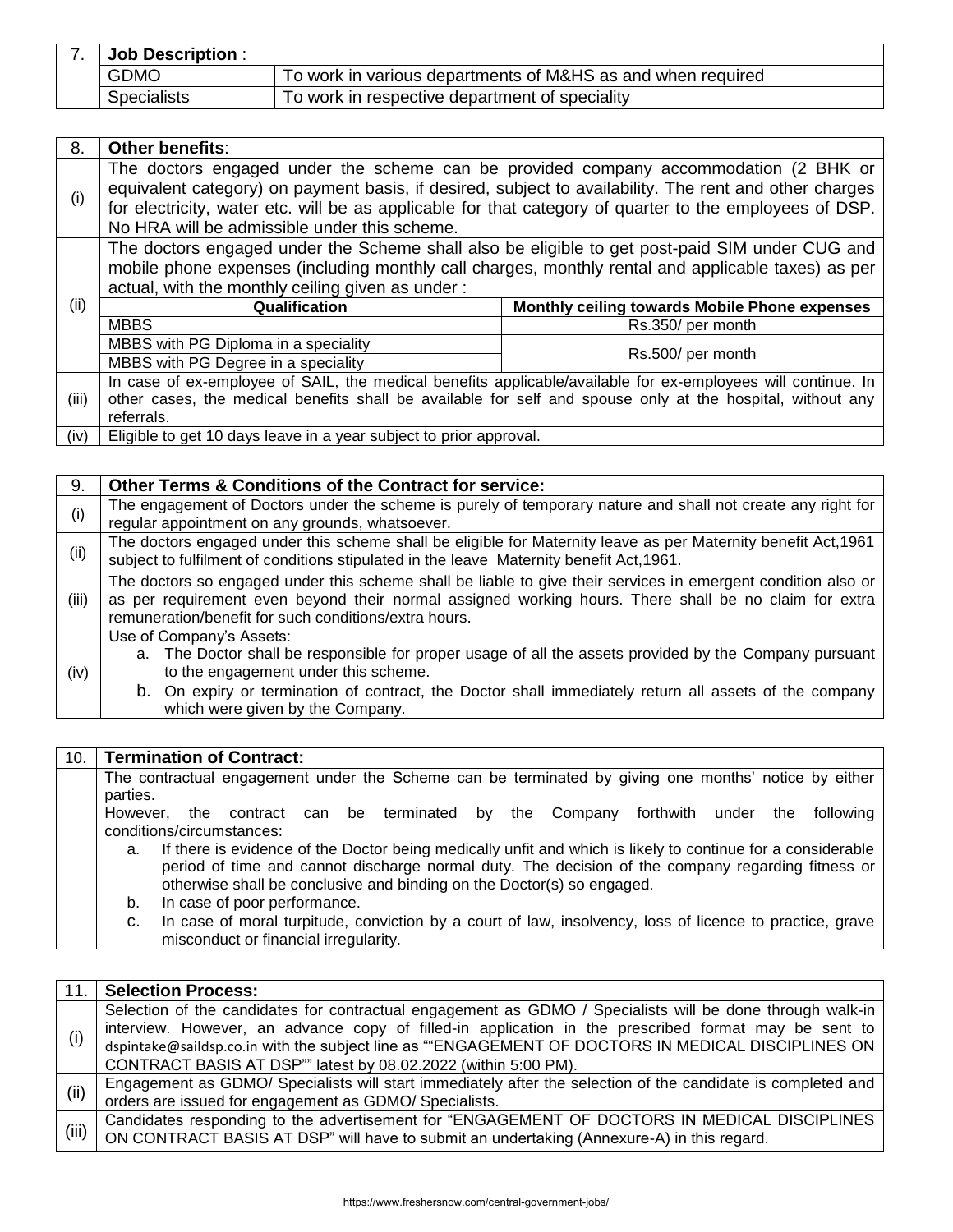| <b>Job Description:</b> |                                                             |
|-------------------------|-------------------------------------------------------------|
| <b>GDMO</b>             | To work in various departments of M&HS as and when required |
| <b>Specialists</b>      | To work in respective department of speciality              |

| 8.    | Other benefits:                                                                                                                                                                                                                                                                                                                                           |                                               |  |  |  |  |
|-------|-----------------------------------------------------------------------------------------------------------------------------------------------------------------------------------------------------------------------------------------------------------------------------------------------------------------------------------------------------------|-----------------------------------------------|--|--|--|--|
| (i)   | The doctors engaged under the scheme can be provided company accommodation (2 BHK or<br>equivalent category) on payment basis, if desired, subject to availability. The rent and other charges<br>for electricity, water etc. will be as applicable for that category of quarter to the employees of DSP.<br>No HRA will be admissible under this scheme. |                                               |  |  |  |  |
| (ii)  | The doctors engaged under the Scheme shall also be eligible to get post-paid SIM under CUG and<br>mobile phone expenses (including monthly call charges, monthly rental and applicable taxes) as per<br>actual, with the monthly ceiling given as under:                                                                                                  |                                               |  |  |  |  |
|       | Qualification                                                                                                                                                                                                                                                                                                                                             | Monthly ceiling towards Mobile Phone expenses |  |  |  |  |
|       | <b>MBBS</b>                                                                                                                                                                                                                                                                                                                                               | Rs.350/ per month                             |  |  |  |  |
|       | MBBS with PG Diploma in a speciality                                                                                                                                                                                                                                                                                                                      |                                               |  |  |  |  |
|       | MBBS with PG Degree in a speciality                                                                                                                                                                                                                                                                                                                       | Rs.500/ per month                             |  |  |  |  |
|       | In case of ex-employee of SAIL, the medical benefits applicable/available for ex-employees will continue. In                                                                                                                                                                                                                                              |                                               |  |  |  |  |
| (iii) | other cases, the medical benefits shall be available for self and spouse only at the hospital, without any                                                                                                                                                                                                                                                |                                               |  |  |  |  |
|       | referrals.                                                                                                                                                                                                                                                                                                                                                |                                               |  |  |  |  |
| (iv)  | Eligible to get 10 days leave in a year subject to prior approval.                                                                                                                                                                                                                                                                                        |                                               |  |  |  |  |

9. **Other Terms & Conditions of the Contract for service:** (i) The engagement of Doctors under the scheme is purely of temporary nature and shall not create any right for regular appointment on any grounds, whatsoever. The doctors engaged under this scheme shall be eligible for Maternity leave as per Maternity benefit Act,1961 subject to fulfilment of conditions stipulated in the leave Maternity benefit Act,1961. (iii) The doctors so engaged under this scheme shall be liable to give their services in emergent condition also or as per requirement even beyond their normal assigned working hours. There shall be no claim for extra remuneration/benefit for such conditions/extra hours. (iv) Use of Company's Assets: a. The Doctor shall be responsible for proper usage of all the assets provided by the Company pursuant to the engagement under this scheme. b. On expiry or termination of contract, the Doctor shall immediately return all assets of the company which were given by the Company.

### 10. **Termination of Contract:**

The contractual engagement under the Scheme can be terminated by giving one months' notice by either parties.

However, the contract can be terminated by the Company forthwith under the following conditions/circumstances:

a. If there is evidence of the Doctor being medically unfit and which is likely to continue for a considerable period of time and cannot discharge normal duty. The decision of the company regarding fitness or otherwise shall be conclusive and binding on the Doctor(s) so engaged.

b. In case of poor performance.

c. In case of moral turpitude, conviction by a court of law, insolvency, loss of licence to practice, grave misconduct or financial irregularity.

| 11.   | <b>Selection Process:</b>                                                                                    |
|-------|--------------------------------------------------------------------------------------------------------------|
|       | Selection of the candidates for contractual engagement as GDMO / Specialists will be done through walk-in    |
| (i)   | interview. However, an advance copy of filled-in application in the prescribed format may be sent to         |
|       | dspintake@saildsp.co.in with the subject line as ""ENGAGEMENT OF DOCTORS IN MEDICAL DISCIPLINES ON           |
|       | CONTRACT BASIS AT DSP"" latest by 08.02.2022 (within 5:00 PM).                                               |
| (i)   | Engagement as GDMO/ Specialists will start immediately after the selection of the candidate is completed and |
|       | orders are issued for engagement as GDMO/ Specialists.                                                       |
| (iii) | Candidates responding to the advertisement for "ENGAGEMENT OF DOCTORS IN MEDICAL DISCIPLINES                 |
|       | ON CONTRACT BASIS AT DSP" will have to submit an undertaking (Annexure-A) in this regard.                    |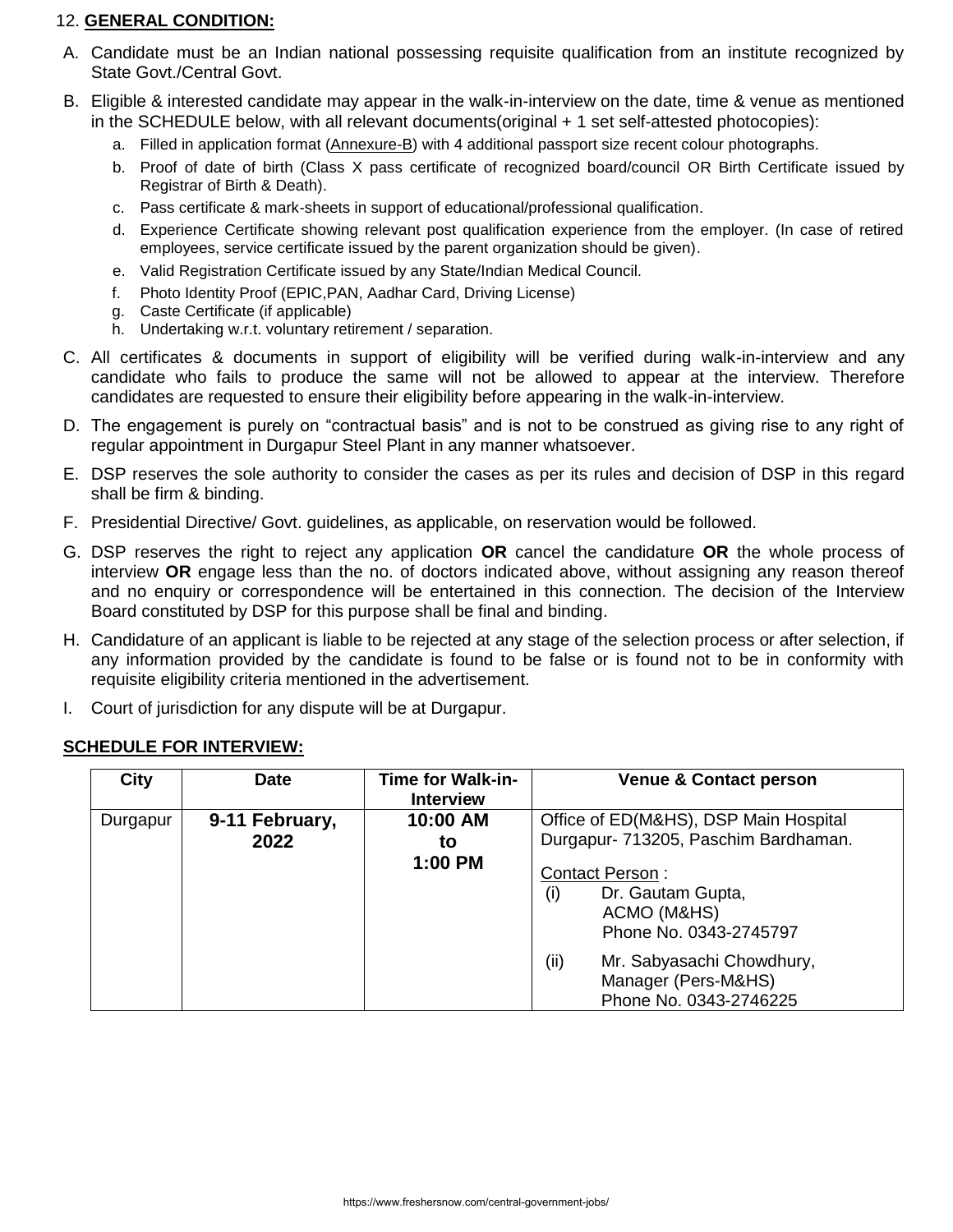## 12. **GENERAL CONDITION:**

- A. Candidate must be an Indian national possessing requisite qualification from an institute recognized by State Govt./Central Govt.
- B. Eligible & interested candidate may appear in the walk-in-interview on the date, time & venue as mentioned in the SCHEDULE below, with all relevant documents(original + 1 set self-attested photocopies):
	- a. Filled in application format (Annexure-B) with 4 additional passport size recent colour photographs.
	- b. Proof of date of birth (Class X pass certificate of recognized board/council OR Birth Certificate issued by Registrar of Birth & Death).
	- c. Pass certificate & mark-sheets in support of educational/professional qualification.
	- d. Experience Certificate showing relevant post qualification experience from the employer. (In case of retired employees, service certificate issued by the parent organization should be given).
	- e. Valid Registration Certificate issued by any State/Indian Medical Council.
	- f. Photo Identity Proof (EPIC,PAN, Aadhar Card, Driving License)
	- g. Caste Certificate (if applicable)
	- h. Undertaking w.r.t. voluntary retirement / separation.
- C. All certificates & documents in support of eligibility will be verified during walk-in-interview and any candidate who fails to produce the same will not be allowed to appear at the interview. Therefore candidates are requested to ensure their eligibility before appearing in the walk-in-interview.
- D. The engagement is purely on "contractual basis" and is not to be construed as giving rise to any right of regular appointment in Durgapur Steel Plant in any manner whatsoever.
- E. DSP reserves the sole authority to consider the cases as per its rules and decision of DSP in this regard shall be firm & binding.
- F. Presidential Directive/ Govt. guidelines, as applicable, on reservation would be followed.
- G. DSP reserves the right to reject any application **OR** cancel the candidature **OR** the whole process of interview **OR** engage less than the no. of doctors indicated above, without assigning any reason thereof and no enquiry or correspondence will be entertained in this connection. The decision of the Interview Board constituted by DSP for this purpose shall be final and binding.
- H. Candidature of an applicant is liable to be rejected at any stage of the selection process or after selection, if any information provided by the candidate is found to be false or is found not to be in conformity with requisite eligibility criteria mentioned in the advertisement.
- I. Court of jurisdiction for any dispute will be at Durgapur.

|  | <b>SCHEDULE FOR INTERVIEW:</b> |  |  |
|--|--------------------------------|--|--|
|--|--------------------------------|--|--|

| <b>City</b> | <b>Date</b>    | <b>Time for Walk-in-</b><br><b>Interview</b> | <b>Venue &amp; Contact person</b>                                                           |
|-------------|----------------|----------------------------------------------|---------------------------------------------------------------------------------------------|
| Durgapur    | 9-11 February, | 10:00 AM                                     | Office of ED(M&HS), DSP Main Hospital                                                       |
|             | 2022           | to                                           | Durgapur- 713205, Paschim Bardhaman.                                                        |
|             |                | 1:00 PM                                      | <b>Contact Person:</b><br>Dr. Gautam Gupta,<br>(i)<br>ACMO (M&HS)<br>Phone No. 0343-2745797 |
|             |                |                                              | (ii)<br>Mr. Sabyasachi Chowdhury,<br>Manager (Pers-M&HS)<br>Phone No. 0343-2746225          |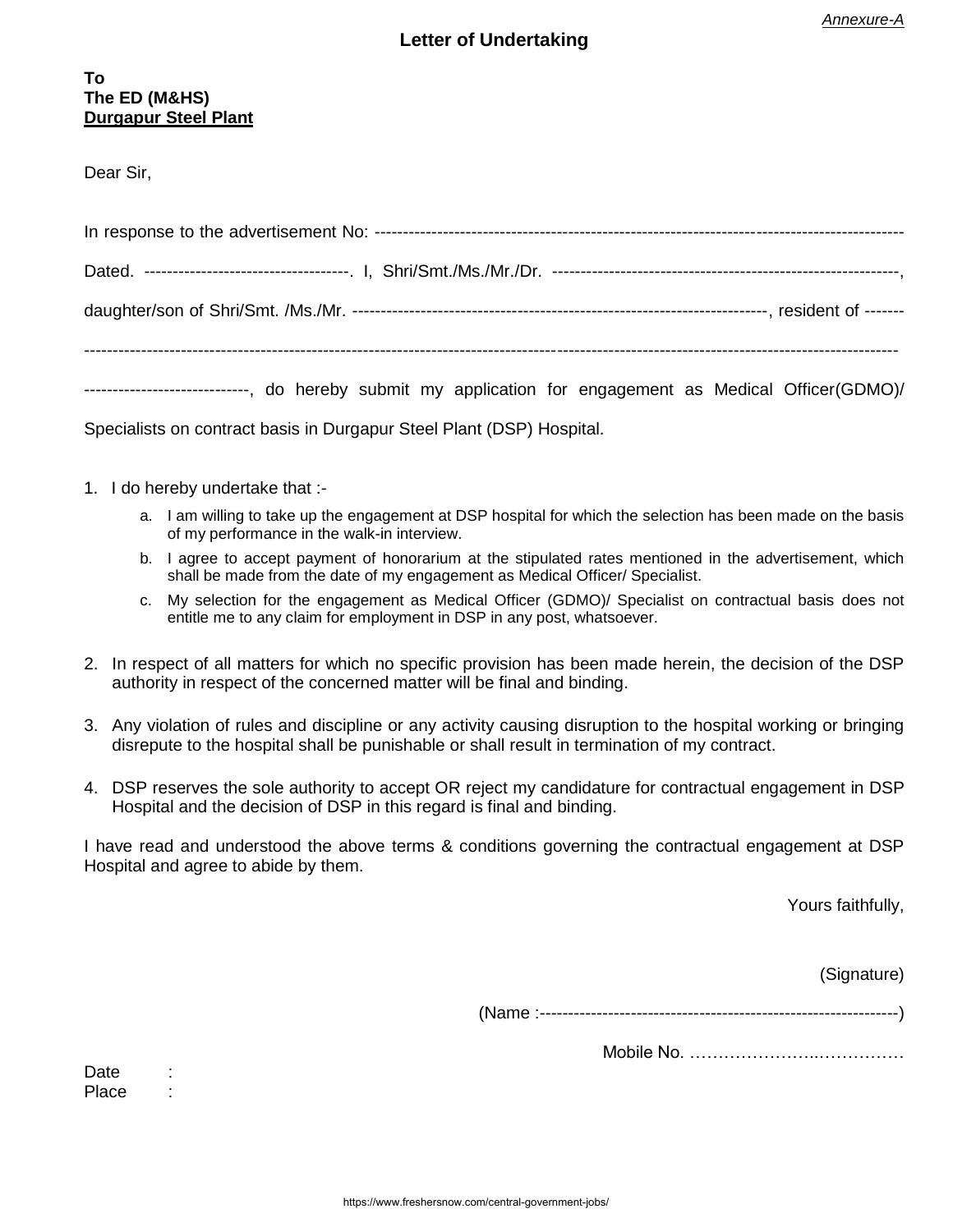# **Letter of Undertaking**

Dear Sir,

| ----------------------------, do hereby submit my application for engagement as Medical Officer(GDMO)/ |  |  |  |  |  |  |  |  |  |  |  |
|--------------------------------------------------------------------------------------------------------|--|--|--|--|--|--|--|--|--|--|--|

Specialists on contract basis in Durgapur Steel Plant (DSP) Hospital.

- 1. I do hereby undertake that :
	- a. I am willing to take up the engagement at DSP hospital for which the selection has been made on the basis of my performance in the walk-in interview.
	- b. I agree to accept payment of honorarium at the stipulated rates mentioned in the advertisement, which shall be made from the date of my engagement as Medical Officer/ Specialist.
	- c. My selection for the engagement as Medical Officer (GDMO)/ Specialist on contractual basis does not entitle me to any claim for employment in DSP in any post, whatsoever.
- 2. In respect of all matters for which no specific provision has been made herein, the decision of the DSP authority in respect of the concerned matter will be final and binding.
- 3. Any violation of rules and discipline or any activity causing disruption to the hospital working or bringing disrepute to the hospital shall be punishable or shall result in termination of my contract.
- 4. DSP reserves the sole authority to accept OR reject my candidature for contractual engagement in DSP Hospital and the decision of DSP in this regard is final and binding.

I have read and understood the above terms & conditions governing the contractual engagement at DSP Hospital and agree to abide by them.

Yours faithfully,

(Signature)

(Name :---------------------------------------------------------------)

Mobile No. …………………..……………

Date : Place :